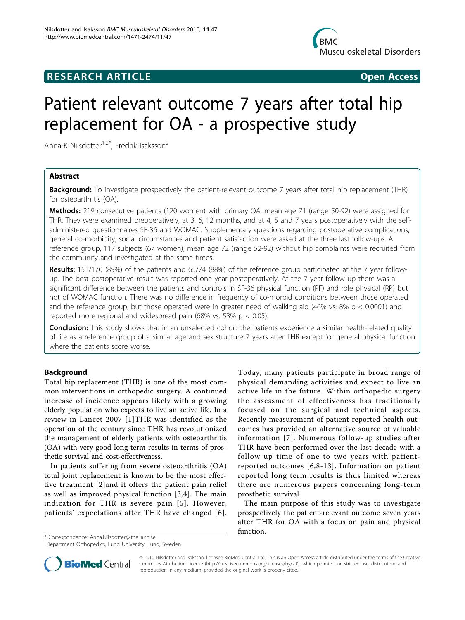

## **RESEARCH ARTICLE Example 2018 Open Access**

# Patient relevant outcome 7 years after total hip replacement for OA - a prospective study

Anna-K Nilsdotter<sup>1,2\*</sup>, Fredrik Isaksson<sup>2</sup>

## Abstract

**Background:** To investigate prospectively the patient-relevant outcome 7 years after total hip replacement (THR) for osteoarthritis (OA).

Methods: 219 consecutive patients (120 women) with primary OA, mean age 71 (range 50-92) were assigned for THR. They were examined preoperatively, at 3, 6, 12 months, and at 4, 5 and 7 years postoperatively with the selfadministered questionnaires SF-36 and WOMAC. Supplementary questions regarding postoperative complications, general co-morbidity, social circumstances and patient satisfaction were asked at the three last follow-ups. A reference group, 117 subjects (67 women), mean age 72 (range 52-92) without hip complaints were recruited from the community and investigated at the same times.

**Results:** 151/170 (89%) of the patients and 65/74 (88%) of the reference group participated at the 7 year followup. The best postoperative result was reported one year postoperatively. At the 7 year follow up there was a significant difference between the patients and controls in SF-36 physical function (PF) and role physical (RP) but not of WOMAC function. There was no difference in frequency of co-morbid conditions between those operated and the reference group, but those operated were in greater need of walking aid (46% vs. 8%  $p < 0.0001$ ) and reported more regional and widespread pain (68% vs. 53%  $p < 0.05$ ).

Conclusion: This study shows that in an unselected cohort the patients experience a similar health-related quality of life as a reference group of a similar age and sex structure 7 years after THR except for general physical function where the patients score worse.

## Background

Total hip replacement (THR) is one of the most common interventions in orthopedic surgery. A continued increase of incidence appears likely with a growing elderly population who expects to live an active life. In a review in Lancet 2007 [[1](#page-6-0)]THR was identified as the operation of the century since THR has revolutionized the management of elderly patients with osteoarthritis (OA) with very good long term results in terms of prosthetic survival and cost-effectiveness.

In patients suffering from severe osteoarthritis (OA) total joint replacement is known to be the most effective treatment [[2\]](#page-6-0)and it offers the patient pain relief as well as improved physical function [[3,4\]](#page-6-0). The main indication for THR is severe pain [[5\]](#page-6-0). However, patients' expectations after THR have changed [[6\]](#page-6-0).

Today, many patients participate in broad range of physical demanding activities and expect to live an active life in the future. Within orthopedic surgery the assessment of effectiveness has traditionally focused on the surgical and technical aspects. Recently measurement of patient reported health outcomes has provided an alternative source of valuable information [[7](#page-6-0)]. Numerous follow-up studies after THR have been performed over the last decade with a follow up time of one to two years with patientreported outcomes [[6](#page-6-0),[8](#page-6-0)-[13](#page-6-0)]. Information on patient reported long term results is thus limited whereas there are numerous papers concerning long-term prosthetic survival.

The main purpose of this study was to investigate prospectively the patient-relevant outcome seven years after THR for OA with a focus on pain and physical function.

\* Correspondence: [Anna.Nilsdotter@lthalland.se](mailto:Anna.Nilsdotter@lthalland.se)

<sup>&</sup>lt;sup>1</sup>Department Orthopedics, Lund University, Lund, Sweden



© 2010 Nilsdotter and Isaksson; licensee BioMed Central Ltd. This is an Open Access article distributed under the terms of the Creative Commons Attribution License [\(http://creativecommons.org/licenses/by/2.0](http://creativecommons.org/licenses/by/2.0)), which permits unrestricted use, distribution, and reproduction in any medium, provided the original work is properly cited.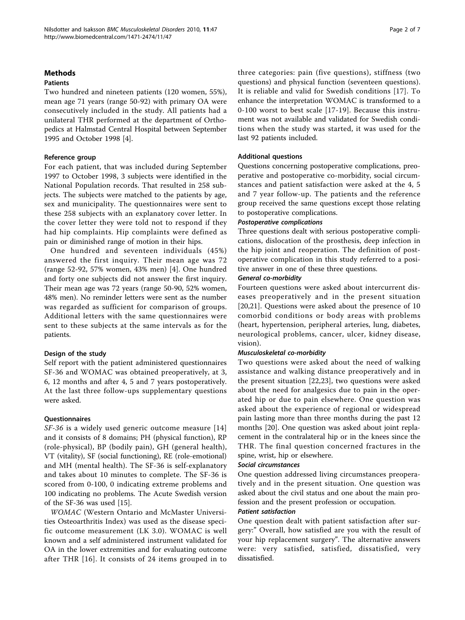### Methods

## Patients

Two hundred and nineteen patients (120 women, 55%), mean age 71 years (range 50-92) with primary OA were consecutively included in the study. All patients had a unilateral THR performed at the department of Orthopedics at Halmstad Central Hospital between September 1995 and October 1998 [\[4](#page-6-0)].

### Reference group

For each patient, that was included during September 1997 to October 1998, 3 subjects were identified in the National Population records. That resulted in 258 subjects. The subjects were matched to the patients by age, sex and municipality. The questionnaires were sent to these 258 subjects with an explanatory cover letter. In the cover letter they were told not to respond if they had hip complaints. Hip complaints were defined as pain or diminished range of motion in their hips.

One hundred and seventeen individuals (45%) answered the first inquiry. Their mean age was 72 (range 52-92, 57% women, 43% men) [\[4](#page-6-0)]. One hundred and forty one subjects did not answer the first inquiry. Their mean age was 72 years (range 50-90, 52% women, 48% men). No reminder letters were sent as the number was regarded as sufficient for comparison of groups. Additional letters with the same questionnaires were sent to these subjects at the same intervals as for the patients.

## Design of the study

Self report with the patient administered questionnaires SF-36 and WOMAC was obtained preoperatively, at 3, 6, 12 months and after 4, 5 and 7 years postoperatively. At the last three follow-ups supplementary questions were asked.

#### **Questionnaires**

SF-36 is a widely used generic outcome measure [[14](#page-6-0)] and it consists of 8 domains; PH (physical function), RP (role-physical), BP (bodily pain), GH (general health), VT (vitality), SF (social functioning), RE (role-emotional) and MH (mental health). The SF-36 is self-explanatory and takes about 10 minutes to complete. The SF-36 is scored from 0-100, 0 indicating extreme problems and 100 indicating no problems. The Acute Swedish version of the SF-36 was used [[15\]](#page-6-0).

WOMAC (Western Ontario and McMaster Universities Osteoarthritis Index) was used as the disease specific outcome measurement (LK 3.0). WOMAC is well known and a self administered instrument validated for OA in the lower extremities and for evaluating outcome after THR [\[16\]](#page-6-0). It consists of 24 items grouped in to three categories: pain (five questions), stiffness (two questions) and physical function (seventeen questions). It is reliable and valid for Swedish conditions [\[17\]](#page-6-0). To enhance the interpretation WOMAC is transformed to a 0-100 worst to best scale [[17](#page-6-0)-[19](#page-6-0)]. Because this instrument was not available and validated for Swedish conditions when the study was started, it was used for the last 92 patients included.

### Additional questions

Questions concerning postoperative complications, preoperative and postoperative co-morbidity, social circumstances and patient satisfaction were asked at the 4, 5 and 7 year follow-up. The patients and the reference group received the same questions except those relating to postoperative complications.

#### Postoperative complications

Three questions dealt with serious postoperative complications, dislocation of the prosthesis, deep infection in the hip joint and reoperation. The definition of postoperative complication in this study referred to a positive answer in one of these three questions.

#### General co-morbidity

Fourteen questions were asked about intercurrent diseases preoperatively and in the present situation [[20,21](#page-6-0)]. Questions were asked about the presence of 10 comorbid conditions or body areas with problems (heart, hypertension, peripheral arteries, lung, diabetes, neurological problems, cancer, ulcer, kidney disease, vision).

#### Musculoskeletal co-morbidity

Two questions were asked about the need of walking assistance and walking distance preoperatively and in the present situation [[22,23](#page-6-0)], two questions were asked about the need for analgesics due to pain in the operated hip or due to pain elsewhere. One question was asked about the experience of regional or widespread pain lasting more than three months during the past 12 months [[20](#page-6-0)]. One question was asked about joint replacement in the contralateral hip or in the knees since the THR. The final question concerned fractures in the spine, wrist, hip or elsewhere.

#### Social circumstances

One question addressed living circumstances preoperatively and in the present situation. One question was asked about the civil status and one about the main profession and the present profession or occupation.

#### Patient satisfaction

One question dealt with patient satisfaction after surgery:" Overall, how satisfied are you with the result of your hip replacement surgery". The alternative answers were: very satisfied, satisfied, dissatisfied, very dissatisfied.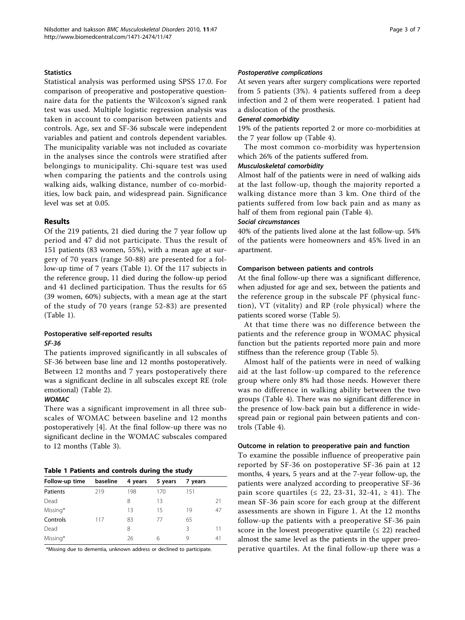#### **Statistics**

Statistical analysis was performed using SPSS 17.0. For comparison of preoperative and postoperative questionnaire data for the patients the Wilcoxon's signed rank test was used. Multiple logistic regression analysis was taken in account to comparison between patients and controls. Age, sex and SF-36 subscale were independent variables and patient and controls dependent variables. The municipality variable was not included as covariate in the analyses since the controls were stratified after belongings to municipality. Chi-square test was used when comparing the patients and the controls using walking aids, walking distance, number of co-morbidities, low back pain, and widespread pain. Significance level was set at 0.05.

## Results

Of the 219 patients, 21 died during the 7 year follow up period and 47 did not participate. Thus the result of 151 patients (83 women, 55%), with a mean age at surgery of 70 years (range 50-88) are presented for a follow-up time of 7 years (Table 1). Of the 117 subjects in the reference group, 11 died during the follow-up period and 41 declined participation. Thus the results for 65 (39 women, 60%) subjects, with a mean age at the start of the study of 70 years (range 52-83) are presented (Table 1).

## Postoperative self-reported results SF-36

The patients improved significantly in all subscales of SF-36 between base line and 12 months postoperatively. Between 12 months and 7 years postoperatively there was a significant decline in all subscales except RE (role emotional) (Table [2\)](#page-3-0).

#### **WOMAC**

There was a significant improvement in all three subscales of WOMAC between baseline and 12 months postoperatively [[4\]](#page-6-0). At the final follow-up there was no significant decline in the WOMAC subscales compared to 12 months (Table [3](#page-3-0)).

#### Table 1 Patients and controls during the study

| Follow-up time | baseline | 4 years | 5 years | 7 years |    |
|----------------|----------|---------|---------|---------|----|
| Patients       | 219      | 198     | 170     | 151     |    |
| Dead           |          | 8       | 13      |         | 21 |
| Missing*       |          | 13      | 15      | 19      | 47 |
| Controls       | 117      | 83      | 77      | 65      |    |
| Dead           |          | 8       |         | 3       | 11 |
| Missing*       |          | 26      | 6       | 9       | 41 |
|                |          |         |         |         |    |

\*Missing due to dementia, unknown address or declined to participate.

#### Postoperative complications

At seven years after surgery complications were reported from 5 patients (3%). 4 patients suffered from a deep infection and 2 of them were reoperated. 1 patient had a dislocation of the prosthesis.

#### General comorbidity

19% of the patients reported 2 or more co-morbidities at the 7 year follow up (Table [4](#page-3-0)).

The most common co-morbidity was hypertension which 26% of the patients suffered from.

### Musculoskeletal comorbidity

Almost half of the patients were in need of walking aids at the last follow-up, though the majority reported a walking distance more than 3 km. One third of the patients suffered from low back pain and as many as half of them from regional pain (Table [4](#page-3-0)).

#### Social circumstances

40% of the patients lived alone at the last follow-up. 54% of the patients were homeowners and 45% lived in an apartment.

#### Comparison between patients and controls

At the final follow-up there was a significant difference, when adjusted for age and sex, between the patients and the reference group in the subscale PF (physical function), VT (vitality) and RP (role physical) where the patients scored worse (Table [5\)](#page-3-0).

At that time there was no difference between the patients and the reference group in WOMAC physical function but the patients reported more pain and more stiffness than the reference group (Table [5\)](#page-3-0).

Almost half of the patients were in need of walking aid at the last follow-up compared to the reference group where only 8% had those needs. However there was no difference in walking ability between the two groups (Table [4](#page-3-0)). There was no significant difference in the presence of low-back pain but a difference in widespread pain or regional pain between patients and controls (Table [4](#page-3-0)).

#### Outcome in relation to preoperative pain and function

To examine the possible influence of preoperative pain reported by SF-36 on postoperative SF-36 pain at 12 months, 4 years, 5 years and at the 7-year follow-up, the patients were analyzed according to preoperative SF-36 pain score quartiles (≤ 22, 23-31, 32-41, ≥ 41). The mean SF-36 pain score for each group at the different assessments are shown in Figure [1](#page-4-0). At the 12 months follow-up the patients with a preoperative SF-36 pain score in the lowest preoperative quartile  $( \leq 22)$  reached almost the same level as the patients in the upper preoperative quartiles. At the final follow-up there was a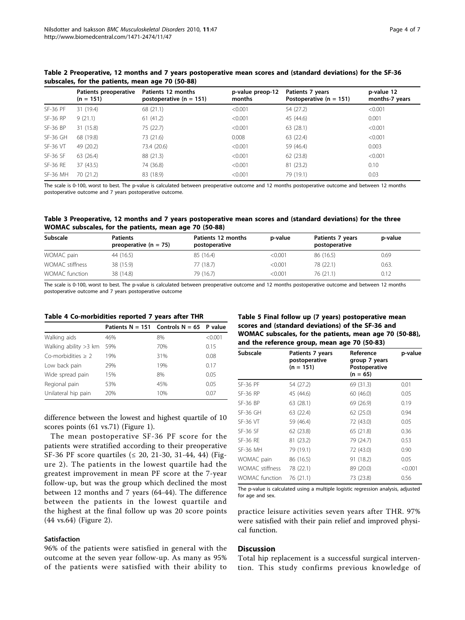|                 | Patients preoperative<br>$(n = 151)$ | Patients 12 months<br>postoperative $(n = 151)$ | p-value preop-12<br>months | Patients 7 years<br>Postoperative $(n = 151)$ | p-value 12<br>months-7 years |
|-----------------|--------------------------------------|-------------------------------------------------|----------------------------|-----------------------------------------------|------------------------------|
| <b>SF-36 PF</b> | 31 (19.4)                            | 68 (21.1)                                       | < 0.001                    | 54 (27.2)                                     | < 0.001                      |
| <b>SF-36 RP</b> | 9(21.1)                              | 61(41.2)                                        | < 0.001                    | 45 (44.6)                                     | 0.001                        |
| <b>SF-36 BP</b> | 31 (15.8)                            | 75 (22.7)                                       | < 0.001                    | 63 (28.1)                                     | < 0.001                      |
| $SF-36$ GH      | 68 (19.8)                            | 73 (21.6)                                       | 0.008                      | 63 (22.4)                                     | < 0.001                      |
| <b>SF-36 VT</b> | 49 (20.2)                            | 73.4 (20.6)                                     | < 0.001                    | 59 (46.4)                                     | 0.003                        |
| SF-36 SF        | 63 (26.4)                            | 88 (21.3)                                       | < 0.001                    | 62 (23.8)                                     | < 0.001                      |
| <b>SF-36 RE</b> | 37(43.5)                             | 74 (36.8)                                       | < 0.001                    | 81 (23.2)                                     | 0.10                         |
| <b>SF-36 MH</b> | 70 (21.2)                            | 83 (18.9)                                       | < 0.001                    | 79 (19.1)                                     | 0.03                         |

<span id="page-3-0"></span>Table 2 Preoperative, 12 months and 7 years postoperative mean scores and (standard deviations) for the SF-36 subscales, for the patients, mean age 70 (50-88)

The scale is 0-100, worst to best. The p-value is calculated between preoperative outcome and 12 months postoperative outcome and between 12 months postoperative outcome and 7 years postoperative outcome.

#### Table 3 Preoperative, 12 months and 7 years postoperative mean scores and (standard deviations) for the three WOMAC subscales, for the patients, mean age 70 (50-88)

| Subscale        | <b>Patients</b><br>preoperative $(n = 75)$ | Patients 12 months<br>postoperative | p-value | Patients 7 years<br>postoperative | p-value |
|-----------------|--------------------------------------------|-------------------------------------|---------|-----------------------------------|---------|
| WOMAC pain      | 44 (16.5)                                  | 85 (16.4)                           | < 0.001 | 86 (16.5)                         | 0.69    |
| WOMAC stiffness | 38 (15.9)                                  | 77 (18.7)                           | < 0.001 | 78 (22.1)                         | 0.63.   |
| WOMAC function  | 38 (14.8)                                  | 79 (16.7)                           | < 0.001 | 76(21.1)                          | 0.12    |

The scale is 0-100, worst to best. The p-value is calculated between preoperative outcome and 12 months postoperative outcome and between 12 months postoperative outcome and 7 years postoperative outcome

#### Table 4 Co-morbidities reported 7 years after THR

|                         | Patients $N = 151$ Controls $N = 65$ P value |     |         |
|-------------------------|----------------------------------------------|-----|---------|
| Walking aids            | 46%                                          | 8%  | < 0.001 |
| Walking ability > 3 km  | 59%                                          | 70% | 0.15    |
| $Co$ -morbidities $> 2$ | 19%                                          | 31% | 0.08    |
| Low back pain           | 29%                                          | 19% | 0.17    |
| Wide spread pain        | 15%                                          | 8%  | 0.05    |
| Regional pain           | 53%                                          | 45% | 0.05    |
| Unilateral hip pain     | 20%                                          | 10% | 0.07    |

difference between the lowest and highest quartile of 10

scores points (61 vs.71) (Figure [1\)](#page-4-0). The mean postoperative SF-36 PF score for the patients were stratified according to their preoperative SF-36 PF score quartiles ( $\leq$  20, 21-30, 31-44, 44) (Figure [2\)](#page-4-0). The patients in the lowest quartile had the greatest improvement in mean PF score at the 7-year follow-up, but was the group which declined the most between 12 months and 7 years (64-44). The difference between the patients in the lowest quartile and the highest at the final follow up was 20 score points (44 vs.64) (Figure [2](#page-4-0)).

#### Satisfaction

96% of the patients were satisfied in general with the outcome at the seven year follow-up. As many as 95% of the patients were satisfied with their ability to

| Table 5 Final follow up (7 years) postoperative mean    |
|---------------------------------------------------------|
| scores and (standard deviations) of the SF-36 and       |
| WOMAC subscales, for the patients, mean age 70 (50-88), |
| and the reference group, mean age 70 (50-83)            |

| Subscale               | Patients 7 years<br>postoperative<br>$(n = 151)$ | Reference<br>group 7 years<br>Postoperative<br>$(n = 65)$ | p-value |
|------------------------|--------------------------------------------------|-----------------------------------------------------------|---------|
| <b>SF-36 PF</b>        | 54 (27.2)                                        | 69 (31.3)                                                 | 0.01    |
| <b>SF-36 RP</b>        | 45 (44.6)                                        | 60 (46.0)                                                 | 0.05    |
| <b>SF-36 BP</b>        | 63(28.1)                                         | 69 (26.9)                                                 | 0.19    |
| $SF-36$ GH             | 63 (22.4)                                        | 62(25.0)                                                  | 0.94    |
| <b>SF-36 VT</b>        | 59 (46.4)                                        | 72 (43.0)                                                 | 0.05    |
| <b>SF-36 SF</b>        | 62(23.8)                                         | 65 (21.8)                                                 | 0.36    |
| <b>SF-36 RF</b>        | 81 (23.2)                                        | 79 (24.7)                                                 | 0.53    |
| <b>SF-36 MH</b>        | 79 (19.1)                                        | 72 (43.0)                                                 | 0.90    |
| WOMAC pain             | 86 (16.5)                                        | 91 (18.2)                                                 | 0.05    |
| <b>WOMAC</b> stiffness | 78 (22.1)                                        | 89 (20.0)                                                 | < 0.001 |
| WOMAC function         | 76 (21.1)                                        | 73 (23.8)                                                 | 0.56    |

The p-value is calculated using a multiple logistic regression analysis, adjusted for age and sex.

practice leisure activities seven years after THR. 97% were satisfied with their pain relief and improved physical function.

## **Discussion**

Total hip replacement is a successful surgical intervention. This study confirms previous knowledge of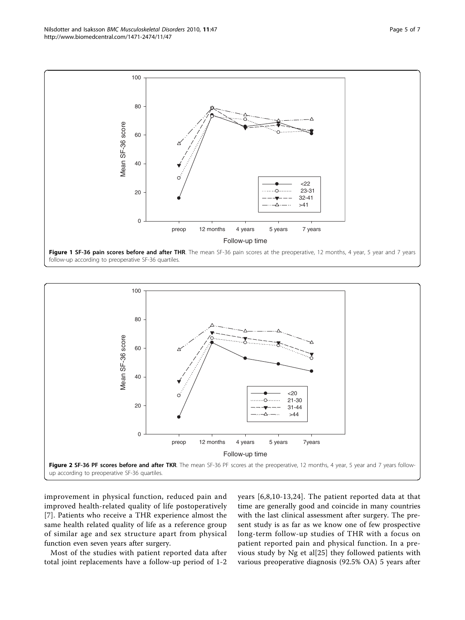improvement in physical function, reduced pain and improved health-related quality of life postoperatively [[7](#page-6-0)]. Patients who receive a THR experience almost the same health related quality of life as a reference group of similar age and sex structure apart from physical function even seven years after surgery.

Most of the studies with patient reported data after total joint replacements have a follow-up period of 1-2 years [\[6,8,10-13,24](#page-6-0)]. The patient reported data at that time are generally good and coincide in many countries with the last clinical assessment after surgery. The present study is as far as we know one of few prospective long-term follow-up studies of THR with a focus on patient reported pain and physical function. In a previous study by Ng et al[[25\]](#page-6-0) they followed patients with various preoperative diagnosis (92.5% OA) 5 years after



Follow-up time preop 12 months 4 years 5 years 7 years

 $< 22$  23-31 32-41 >41

. . . . . . . . . . . . . . . . . .



Mean SF-36 score

Mean SF-36 score

0

20

40

60

80

<span id="page-4-0"></span>100

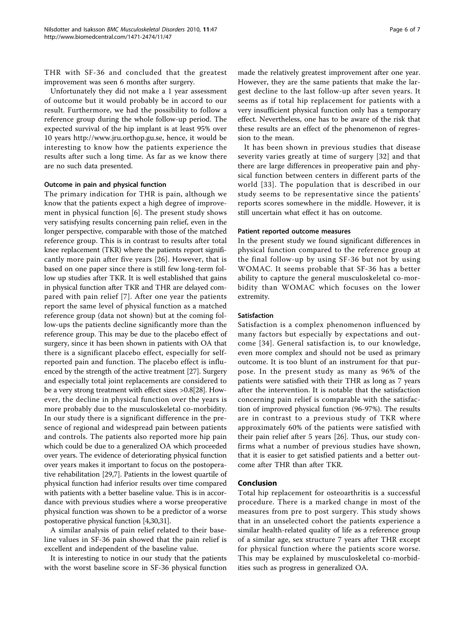THR with SF-36 and concluded that the greatest improvement was seen 6 months after surgery.

Unfortunately they did not make a 1 year assessment of outcome but it would probably be in accord to our result. Furthermore, we had the possibility to follow a reference group during the whole follow-up period. The expected survival of the hip implant is at least 95% over 10 years<http://www.jru.orthop.gu.se>, hence, it would be interesting to know how the patients experience the results after such a long time. As far as we know there are no such data presented.

#### Outcome in pain and physical function

The primary indication for THR is pain, although we know that the patients expect a high degree of improvement in physical function [[6\]](#page-6-0). The present study shows very satisfying results concerning pain relief, even in the longer perspective, comparable with those of the matched reference group. This is in contrast to results after total knee replacement (TKR) where the patients report significantly more pain after five years [\[26\]](#page-6-0). However, that is based on one paper since there is still few long-term follow up studies after TKR. It is well established that gains in physical function after TKR and THR are delayed compared with pain relief [[7](#page-6-0)]. After one year the patients report the same level of physical function as a matched reference group (data not shown) but at the coming follow-ups the patients decline significantly more than the reference group. This may be due to the placebo effect of surgery, since it has been shown in patients with OA that there is a significant placebo effect, especially for selfreported pain and function. The placebo effect is influenced by the strength of the active treatment [\[27](#page-6-0)]. Surgery and especially total joint replacements are considered to be a very strong treatment with effect sizes >0.8[\[28\]](#page-6-0). However, the decline in physical function over the years is more probably due to the musculoskeletal co-morbidity. In our study there is a significant difference in the presence of regional and widespread pain between patients and controls. The patients also reported more hip pain which could be due to a generalized OA which proceeded over years. The evidence of deteriorating physical function over years makes it important to focus on the postoperative rehabilitation [[29,7\]](#page-6-0). Patients in the lowest quartile of physical function had inferior results over time compared with patients with a better baseline value. This is in accordance with previous studies where a worse preoperative physical function was shown to be a predictor of a worse postoperative physical function [\[4,30,31](#page-6-0)].

A similar analysis of pain relief related to their baseline values in SF-36 pain showed that the pain relief is excellent and independent of the baseline value.

It is interesting to notice in our study that the patients with the worst baseline score in SF-36 physical function

made the relatively greatest improvement after one year. However, they are the same patients that make the largest decline to the last follow-up after seven years. It seems as if total hip replacement for patients with a very insufficient physical function only has a temporary effect. Nevertheless, one has to be aware of the risk that these results are an effect of the phenomenon of regression to the mean.

It has been shown in previous studies that disease severity varies greatly at time of surgery [[32\]](#page-6-0) and that there are large differences in preoperative pain and physical function between centers in different parts of the world [[33](#page-6-0)]. The population that is described in our study seems to be representative since the patients' reports scores somewhere in the middle. However, it is still uncertain what effect it has on outcome.

#### Patient reported outcome measures

In the present study we found significant differences in physical function compared to the reference group at the final follow-up by using SF-36 but not by using WOMAC. It seems probable that SF-36 has a better ability to capture the general musculoskeletal co-morbidity than WOMAC which focuses on the lower extremity.

#### Satisfaction

Satisfaction is a complex phenomenon influenced by many factors but especially by expectations and outcome [[34\]](#page-6-0). General satisfaction is, to our knowledge, even more complex and should not be used as primary outcome. It is too blunt of an instrument for that purpose. In the present study as many as 96% of the patients were satisfied with their THR as long as 7 years after the intervention. It is notable that the satisfaction concerning pain relief is comparable with the satisfaction of improved physical function (96-97%). The results are in contrast to a previous study of TKR where approximately 60% of the patients were satisfied with their pain relief after 5 years [\[26](#page-6-0)]. Thus, our study confirms what a number of previous studies have shown, that it is easier to get satisfied patients and a better outcome after THR than after TKR.

#### Conclusion

Total hip replacement for osteoarthritis is a successful procedure. There is a marked change in most of the measures from pre to post surgery. This study shows that in an unselected cohort the patients experience a similar health-related quality of life as a reference group of a similar age, sex structure 7 years after THR except for physical function where the patients score worse. This may be explained by musculoskeletal co-morbidities such as progress in generalized OA.